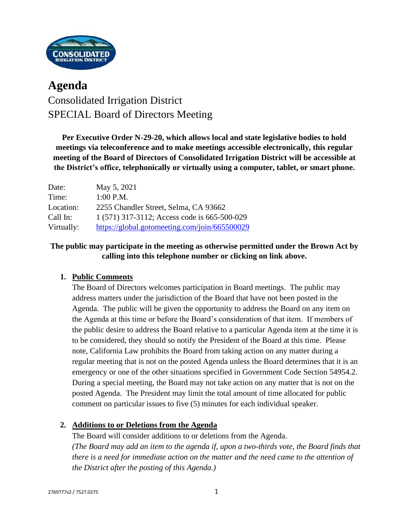

# **Agenda** Consolidated Irrigation District SPECIAL Board of Directors Meeting

**Per Executive Order N-29-20, which allows local and state legislative bodies to hold meetings via teleconference and to make meetings accessible electronically, this regular meeting of the Board of Directors of Consolidated Irrigation District will be accessible at the District's office, telephonically or virtually using a computer, tablet, or smart phone.**

| Date:      | May 5, 2021                                   |
|------------|-----------------------------------------------|
| Time:      | $1:00$ P.M.                                   |
| Location:  | 2255 Chandler Street, Selma, CA 93662         |
| Call In:   | 1 (571) 317-3112; Access code is 665-500-029  |
| Virtually: | https://global.gotomeeting.com/join/665500029 |

#### **The public may participate in the meeting as otherwise permitted under the Brown Act by calling into this telephone number or clicking on link above.**

#### **1. Public Comments**

The Board of Directors welcomes participation in Board meetings. The public may address matters under the jurisdiction of the Board that have not been posted in the Agenda. The public will be given the opportunity to address the Board on any item on the Agenda at this time or before the Board's consideration of that item. If members of the public desire to address the Board relative to a particular Agenda item at the time it is to be considered, they should so notify the President of the Board at this time. Please note, California Law prohibits the Board from taking action on any matter during a regular meeting that is not on the posted Agenda unless the Board determines that it is an emergency or one of the other situations specified in Government Code Section 54954.2. During a special meeting, the Board may not take action on any matter that is not on the posted Agenda. The President may limit the total amount of time allocated for public comment on particular issues to five (5) minutes for each individual speaker.

#### **2. Additions to or Deletions from the Agenda**

The Board will consider additions to or deletions from the Agenda. *(The Board may add an item to the agenda if, upon a two-thirds vote, the Board finds that there is a need for immediate action on the matter and the need came to the attention of the District after the posting of this Agenda.)*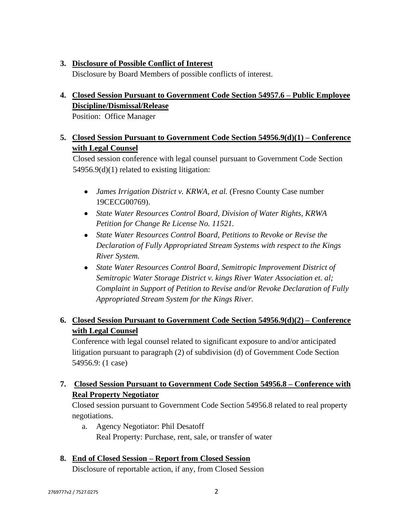#### **3. Disclosure of Possible Conflict of Interest**

Disclosure by Board Members of possible conflicts of interest.

## **4. Closed Session Pursuant to Government Code Section 54957.6 – Public Employee Discipline/Dismissal/Release**

Position: Office Manager

#### **5. Closed Session Pursuant to Government Code Section 54956.9(d)(1) – Conference with Legal Counsel**

Closed session conference with legal counsel pursuant to Government Code Section 54956.9(d)(1) related to existing litigation:

- *James Irrigation District v. KRWA, et al.* (Fresno County Case number 19CECG00769).
- *State Water Resources Control Board, Division of Water Rights, KRWA Petition for Change Re License No. 11521.*
- *State Water Resources Control Board, Petitions to Revoke or Revise the Declaration of Fully Appropriated Stream Systems with respect to the Kings River System.*
- *State Water Resources Control Board, Semitropic Improvement District of Semitropic Water Storage District v. kings River Water Association et. al; Complaint in Support of Petition to Revise and/or Revoke Declaration of Fully Appropriated Stream System for the Kings River.*

## **6. Closed Session Pursuant to Government Code Section 54956.9(d)(2) – Conference with Legal Counsel**

Conference with legal counsel related to significant exposure to and/or anticipated litigation pursuant to paragraph (2) of subdivision (d) of Government Code Section 54956.9: (1 case)

## **7. Closed Session Pursuant to Government Code Section 54956.8 – Conference with Real Property Negotiator**

Closed session pursuant to Government Code Section 54956.8 related to real property negotiations.

a. Agency Negotiator: Phil Desatoff Real Property: Purchase, rent, sale, or transfer of water

# **8. End of Closed Session – Report from Closed Session**

Disclosure of reportable action, if any, from Closed Session